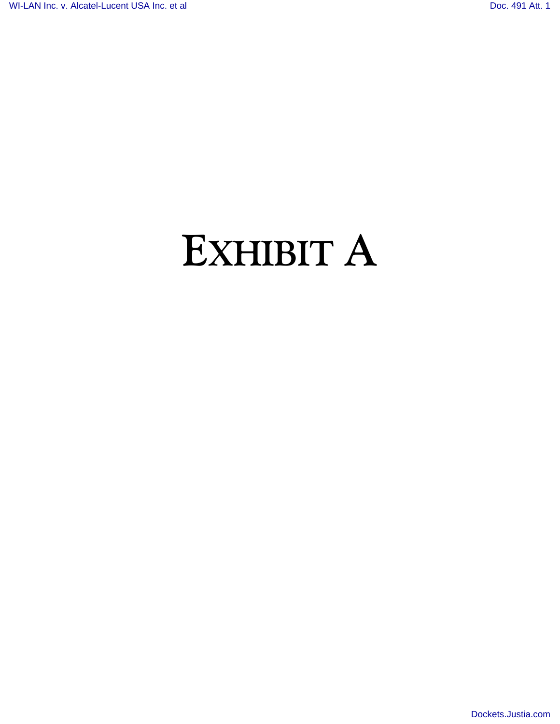## **EXHIBIT A**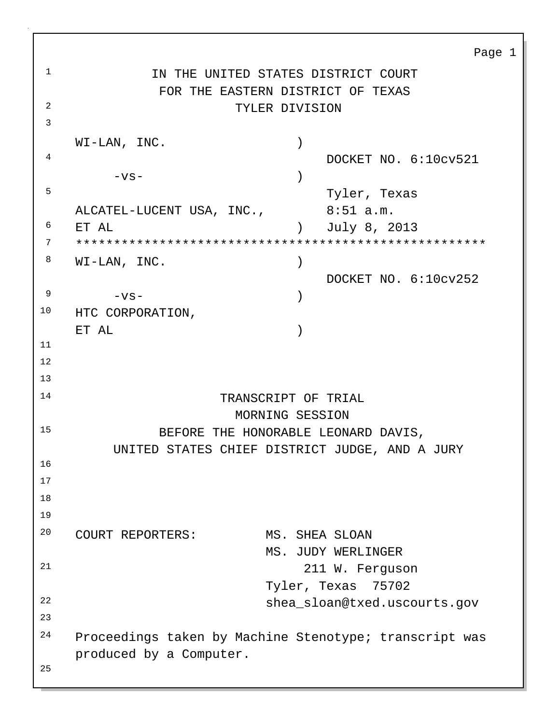Page 1 <sup>1</sup> IN THE UNITED STATES DISTRICT COURT FOR THE EASTERN DISTRICT OF TEXAS <sup>2</sup> TYLER DIVISION 3 WI-LAN, INC. 4 DOCKET NO. 6:10cv521  $-\nabla S -$  ) 5 Tyler, Texas ALCATEL-LUCENT USA, INC., 8:51 a.m. <sup>6</sup> ET AL ) July 8, 2013 <sup>7</sup> \*\*\*\*\*\*\*\*\*\*\*\*\*\*\*\*\*\*\*\*\*\*\*\*\*\*\*\*\*\*\*\*\*\*\*\*\*\*\*\*\*\*\*\*\*\*\*\*\*\*\*\*\*\*  $8$  WI-LAN, INC. DOCKET NO. 6:10cv252  $9 -VS -$  ) <sup>10</sup> HTC CORPORATION, ET AL ) 11 12 13 <sup>14</sup> TRANSCRIPT OF TRIAL MORNING SESSION <sup>15</sup> BEFORE THE HONORABLE LEONARD DAVIS, UNITED STATES CHIEF DISTRICT JUDGE, AND A JURY 16 17 18 19 <sup>20</sup> COURT REPORTERS: MS. SHEA SLOAN MS. JUDY WERLINGER 21 211 W. Ferguson Tyler, Texas 75702 22 shea\_sloan@txed.uscourts.gov 23 <sup>24</sup> Proceedings taken by Machine Stenotype; transcript was produced by a Computer. 25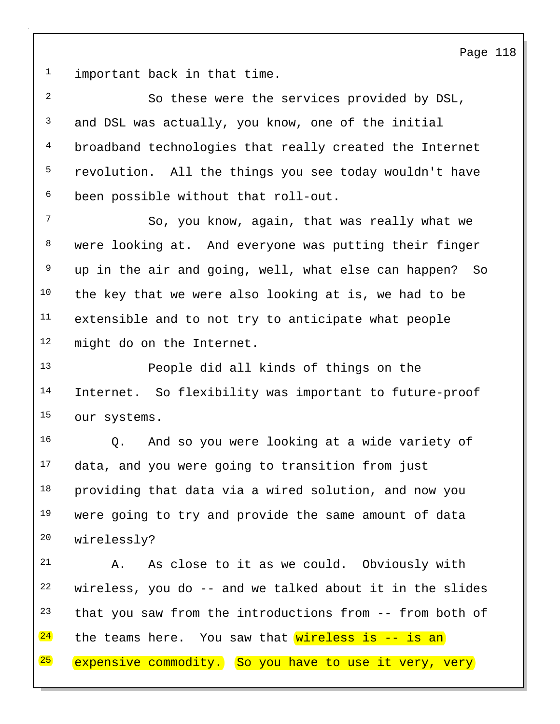Page 118

<sup>1</sup> important back in that time.

2 So these were the services provided by DSL, <sup>3</sup> and DSL was actually, you know, one of the initial 4 broadband technologies that really created the Internet <sup>5</sup> revolution. All the things you see today wouldn't have <sup>6</sup> been possible without that roll-out. <sup>7</sup> So, you know, again, that was really what we <sup>8</sup> were looking at. And everyone was putting their finger <sup>9</sup> up in the air and going, well, what else can happen? So  $10$  the key that we were also looking at is, we had to be <sup>11</sup> extensible and to not try to anticipate what people

<sup>12</sup> might do on the Internet.

13 People did all kinds of things on the 14 Internet. So flexibility was important to future-proof <sup>15</sup> our systems.

16 Q. And so you were looking at a wide variety of <sup>17</sup> data, and you were going to transition from just <sup>18</sup> providing that data via a wired solution, and now you <sup>19</sup> were going to try and provide the same amount of data <sup>20</sup> wirelessly?

21 A. As close to it as we could. Obviously with wireless, you do  $-$  and we talked about it in the slides that you saw from the introductions from  $-$ - from both of the teams here. You saw that  $wireless$  is  $-$  is an

 $25$  expensive commodity. So you have to use it very, very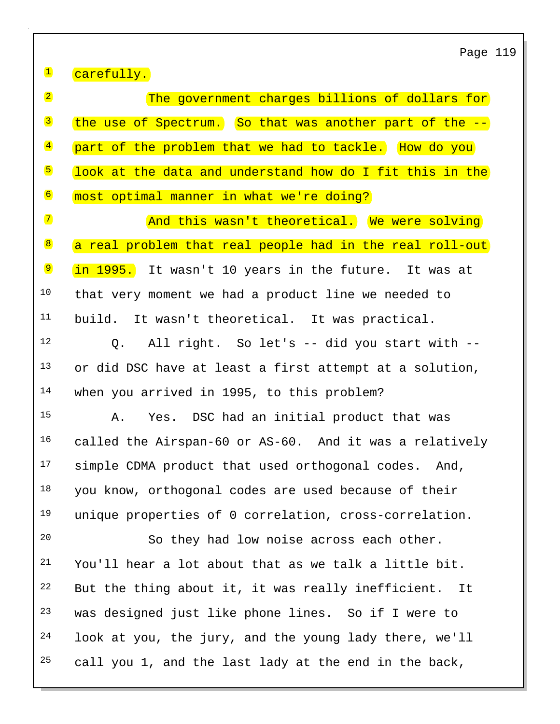Page 119

<sup>1</sup> carefully.

2 **The government charges billions of dollars for**  $3$  the use of Spectrum. So that was another part of the  $-$ 4 part of the problem that we had to tackle. How do you 5 look at the data and understand how do I fit this in the <sup>6</sup> most optimal manner in what we're doing?

7 and this wasn't theoretical. We were solving 8 a real problem that real people had in the real roll-out <sup>9</sup> in 1995. It wasn't 10 years in the future. It was at <sup>10</sup> that very moment we had a product line we needed to <sup>11</sup> build. It wasn't theoretical. It was practical.

12 Q. All right. So let's -- did you start with -- <sup>13</sup> or did DSC have at least a first attempt at a solution, <sup>14</sup> when you arrived in 1995, to this problem?

15 A. Yes. DSC had an initial product that was <sup>16</sup> called the Airspan-60 or AS-60. And it was a relatively <sup>17</sup> simple CDMA product that used orthogonal codes. And, <sup>18</sup> you know, orthogonal codes are used because of their <sup>19</sup> unique properties of 0 correlation, cross-correlation.

20 So they had low noise across each other. You'll hear a lot about that as we talk a little bit. But the thing about it, it was really inefficient. It was designed just like phone lines. So if I were to look at you, the jury, and the young lady there, we'll call you 1, and the last lady at the end in the back,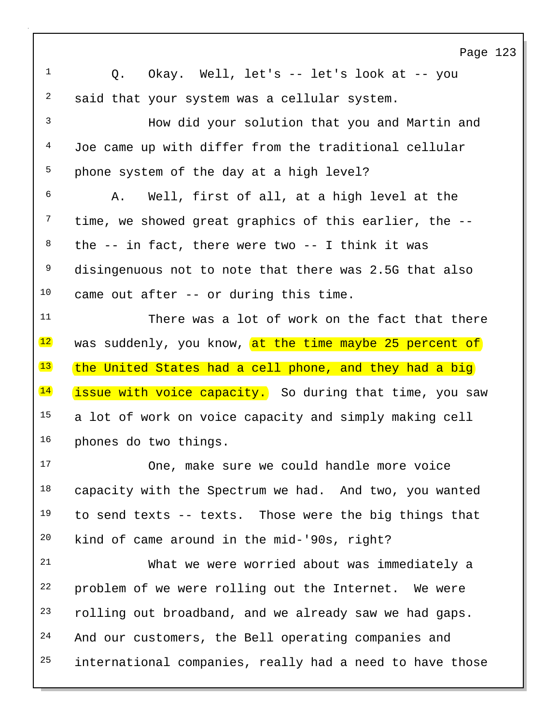Page 123 1 Q. Okay. Well, let's -- let's look at -- you  $2$  said that your system was a cellular system. 3 How did your solution that you and Martin and 4 Joe came up with differ from the traditional cellular 5 phone system of the day at a high level?  $6$  A. Well, first of all, at a high level at the  $7$  time, we showed great graphics of this earlier, the  $-$ - $8$  the  $-$  in fact, there were two  $-$  I think it was <sup>9</sup> disingenuous not to note that there was 2.5G that also  $10$  came out after -- or during this time. 11 There was a lot of work on the fact that there 12 was suddenly, you know, at the time maybe 25 percent of  $13$  the United States had a cell phone, and they had a big  $14$  issue with voice capacity. So during that time, you saw <sup>15</sup> a lot of work on voice capacity and simply making cell <sup>16</sup> phones do two things. 17 One, make sure we could handle more voice  $18$  capacity with the Spectrum we had. And two, you wanted  $19$  to send texts -- texts. Those were the big things that <sup>20</sup> kind of came around in the mid-'90s, right? 21 What we were worried about was immediately a <sup>22</sup> problem of we were rolling out the Internet. We were 23 rolling out broadband, and we already saw we had gaps. 24 And our customers, the Bell operating companies and  $25$  international companies, really had a need to have those